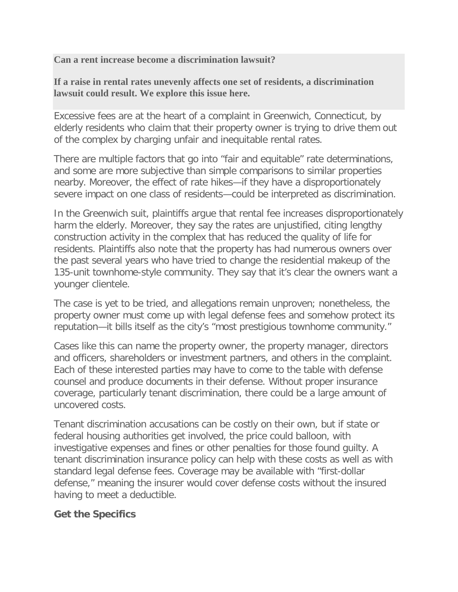**Can a rent increase become a discrimination lawsuit?**

**If a raise in rental rates unevenly affects one set of residents, a discrimination lawsuit could result. We explore this issue here.**

Excessive fees are at the heart of a complaint in Greenwich, Connecticut, by elderly residents who claim that their property owner is trying to drive them out of the complex by charging unfair and inequitable rental rates.

There are multiple factors that go into "fair and equitable" rate determinations, and some are more subjective than simple comparisons to similar properties nearby. Moreover, the effect of rate hikes—if they have a disproportionately severe impact on one class of residents—could be interpreted as discrimination.

In the Greenwich suit, plaintiffs argue that rental fee increases disproportionately harm the elderly. Moreover, they say the rates are unjustified, citing lengthy construction activity in the complex that has reduced the quality of life for residents. Plaintiffs also note that the property has had numerous owners over the past several years who have tried to change the residential makeup of the 135-unit townhome-style community. They say that it's clear the owners want a younger clientele.

The case is yet to be tried, and allegations remain unproven; nonetheless, the property owner must come up with legal defense fees and somehow protect its reputation—it bills itself as the city's "most prestigious townhome community."

Cases like this can name the property owner, the property manager, directors and officers, shareholders or investment partners, and others in the complaint. Each of these interested parties may have to come to the table with defense counsel and produce documents in their defense. Without proper insurance coverage, particularly tenant discrimination, there could be a large amount of uncovered costs.

Tenant discrimination accusations can be costly on their own, but if state or federal housing authorities get involved, the price could balloon, with investigative expenses and fines or other penalties for those found guilty. A tenant discrimination insurance policy can help with these costs as well as with standard legal defense fees. Coverage may be available with "first-dollar defense," meaning the insurer would cover defense costs without the insured having to meet a deductible.

## **Get the Specifics**